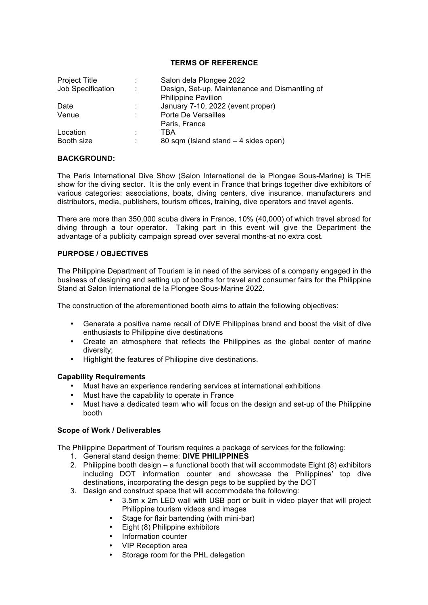### **TERMS OF REFERENCE**

| <b>Project Title</b> | ÷ | Salon dela Plongee 2022                                                      |
|----------------------|---|------------------------------------------------------------------------------|
| Job Specification    | ÷ | Design, Set-up, Maintenance and Dismantling of<br><b>Philippine Pavilion</b> |
| Date                 | ÷ | January 7-10, 2022 (event proper)                                            |
| Venue                | ÷ | Porte De Versailles                                                          |
|                      |   | Paris, France                                                                |
| Location             | ٠ | TBA                                                                          |
| Booth size           | ٠ | 80 sqm (Island stand - 4 sides open)                                         |

#### **BACKGROUND:**

The Paris International Dive Show (Salon International de la Plongee Sous-Marine) is THE show for the diving sector. It is the only event in France that brings together dive exhibitors of various categories: associations, boats, diving centers, dive insurance, manufacturers and distributors, media, publishers, tourism offices, training, dive operators and travel agents.

There are more than 350,000 scuba divers in France, 10% (40,000) of which travel abroad for diving through a tour operator. Taking part in this event will give the Department the advantage of a publicity campaign spread over several months-at no extra cost.

# **PURPOSE / OBJECTIVES**

The Philippine Department of Tourism is in need of the services of a company engaged in the business of designing and setting up of booths for travel and consumer fairs for the Philippine Stand at Salon International de la Plongee Sous-Marine 2022.

The construction of the aforementioned booth aims to attain the following objectives:

- Generate a positive name recall of DIVE Philippines brand and boost the visit of dive enthusiasts to Philippine dive destinations
- Create an atmosphere that reflects the Philippines as the global center of marine diversity;
- Highlight the features of Philippine dive destinations.

### **Capability Requirements**

- Must have an experience rendering services at international exhibitions
- Must have the capability to operate in France
- Must have a dedicated team who will focus on the design and set-up of the Philippine booth

### **Scope of Work / Deliverables**

The Philippine Department of Tourism requires a package of services for the following:

- 1. General stand design theme: **DIVE PHILIPPINES**
- 2. Philippine booth design a functional booth that will accommodate Eight (8) exhibitors including DOT information counter and showcase the Philippines' top dive destinations, incorporating the design pegs to be supplied by the DOT
- 3. Design and construct space that will accommodate the following:
	- 3.5m x 2m LED wall with USB port or built in video player that will project Philippine tourism videos and images
	- Stage for flair bartending (with mini-bar)
	- Eight (8) Philippine exhibitors
	- Information counter
	- VIP Reception area
	- Storage room for the PHL delegation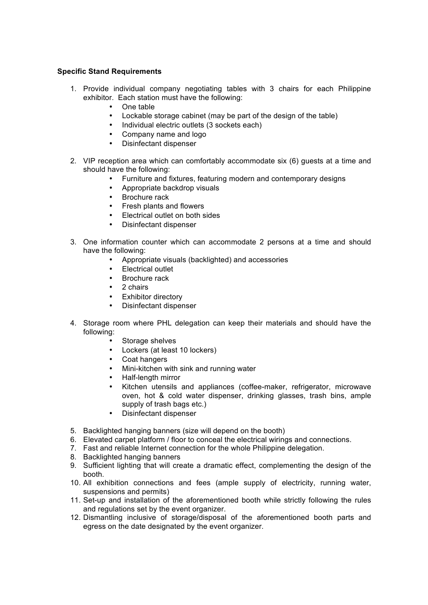# **Specific Stand Requirements**

- 1. Provide individual company negotiating tables with 3 chairs for each Philippine exhibitor. Each station must have the following:
	- One table
	- Lockable storage cabinet (may be part of the design of the table)
	- Individual electric outlets (3 sockets each)
	- Company name and logo
	- Disinfectant dispenser
- 2. VIP reception area which can comfortably accommodate six (6) guests at a time and should have the following:
	- Furniture and fixtures, featuring modern and contemporary designs
	- Appropriate backdrop visuals
	- Brochure rack
	- Fresh plants and flowers
	- Electrical outlet on both sides
	- Disinfectant dispenser
- 3. One information counter which can accommodate 2 persons at a time and should have the following:
	- Appropriate visuals (backlighted) and accessories
	- Electrical outlet
	- Brochure rack
	- 2 chairs
	- Exhibitor directory
	- Disinfectant dispenser
- 4. Storage room where PHL delegation can keep their materials and should have the following:
	- Storage shelves
	- Lockers (at least 10 lockers)
	- Coat hangers
	- Mini-kitchen with sink and running water
	- Half-length mirror
	- Kitchen utensils and appliances (coffee-maker, refrigerator, microwave oven, hot & cold water dispenser, drinking glasses, trash bins, ample supply of trash bags etc.)
	- Disinfectant dispenser
- 5. Backlighted hanging banners (size will depend on the booth)
- 6. Elevated carpet platform / floor to conceal the electrical wirings and connections.
- 7. Fast and reliable Internet connection for the whole Philippine delegation.
- 8. Backlighted hanging banners
- 9. Sufficient lighting that will create a dramatic effect, complementing the design of the booth.
- 10. All exhibition connections and fees (ample supply of electricity, running water, suspensions and permits)
- 11. Set-up and installation of the aforementioned booth while strictly following the rules and regulations set by the event organizer.
- 12. Dismantling inclusive of storage/disposal of the aforementioned booth parts and egress on the date designated by the event organizer.